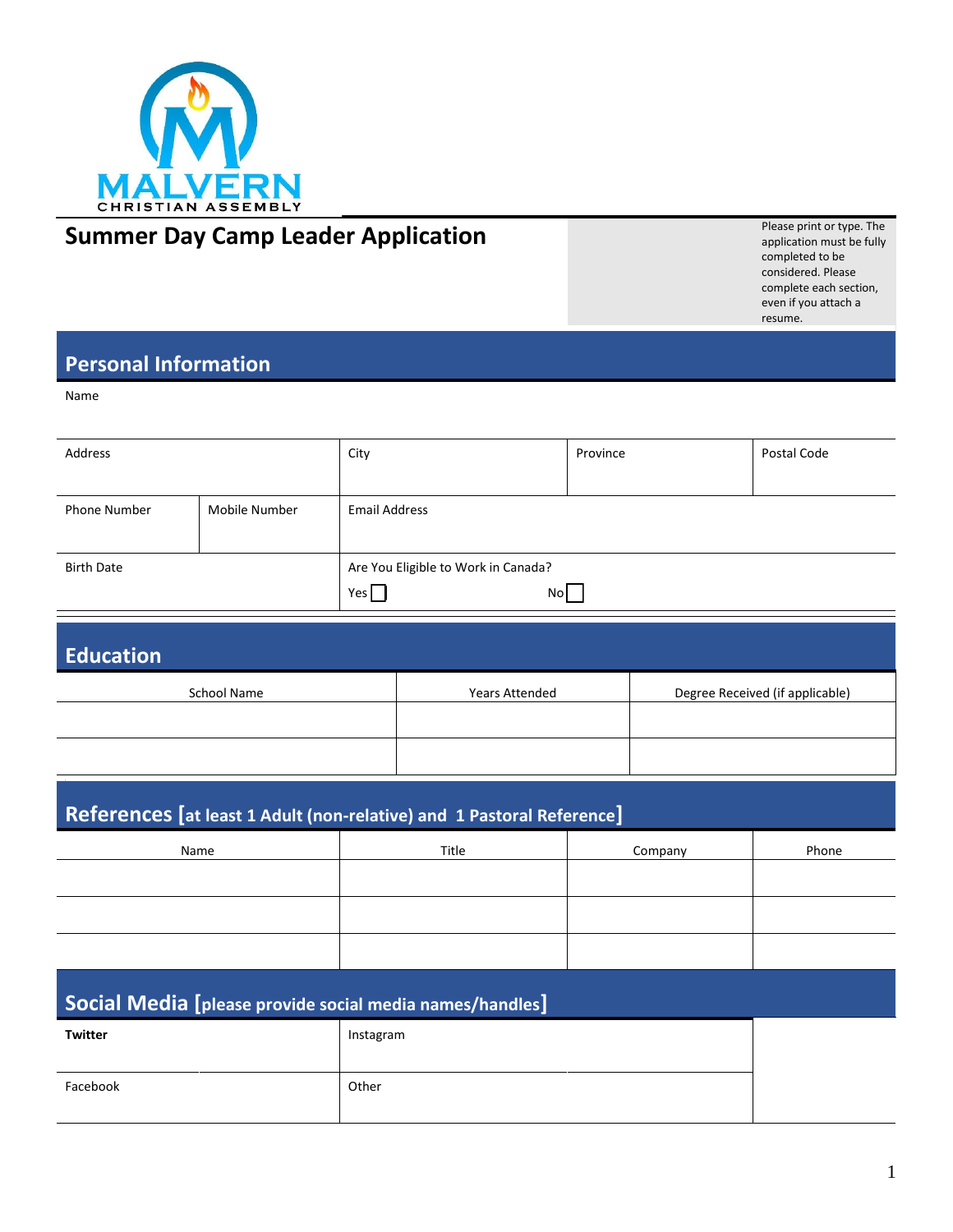

# **SUMMERT AND SUMMERT APPLICATION**<br>
Summer Day Camp Leader Application

application must be fully completed to be considered. Please complete each section, even if you attach a resume.

## **Personal Information**

Name

| Address           |               | City                                             | Province | Postal Code |
|-------------------|---------------|--------------------------------------------------|----------|-------------|
| Phone Number      | Mobile Number | Email Address                                    |          |             |
| <b>Birth Date</b> |               | Are You Eligible to Work in Canada?<br>No<br>Yes |          |             |

| Education   |                |                                 |
|-------------|----------------|---------------------------------|
| School Name | Years Attended | Degree Received (if applicable) |
|             |                |                                 |

# **References [at least 1 Adult (non-relative) and 1 Pastoral Reference]**

| Name | Title | Company | Phone |
|------|-------|---------|-------|
|      |       |         |       |
|      |       |         |       |
|      |       |         |       |
|      |       |         |       |

| Social Media [please provide social media names/handles] |           |  |
|----------------------------------------------------------|-----------|--|
| Twitter                                                  | Instagram |  |
| Facebook                                                 | Other     |  |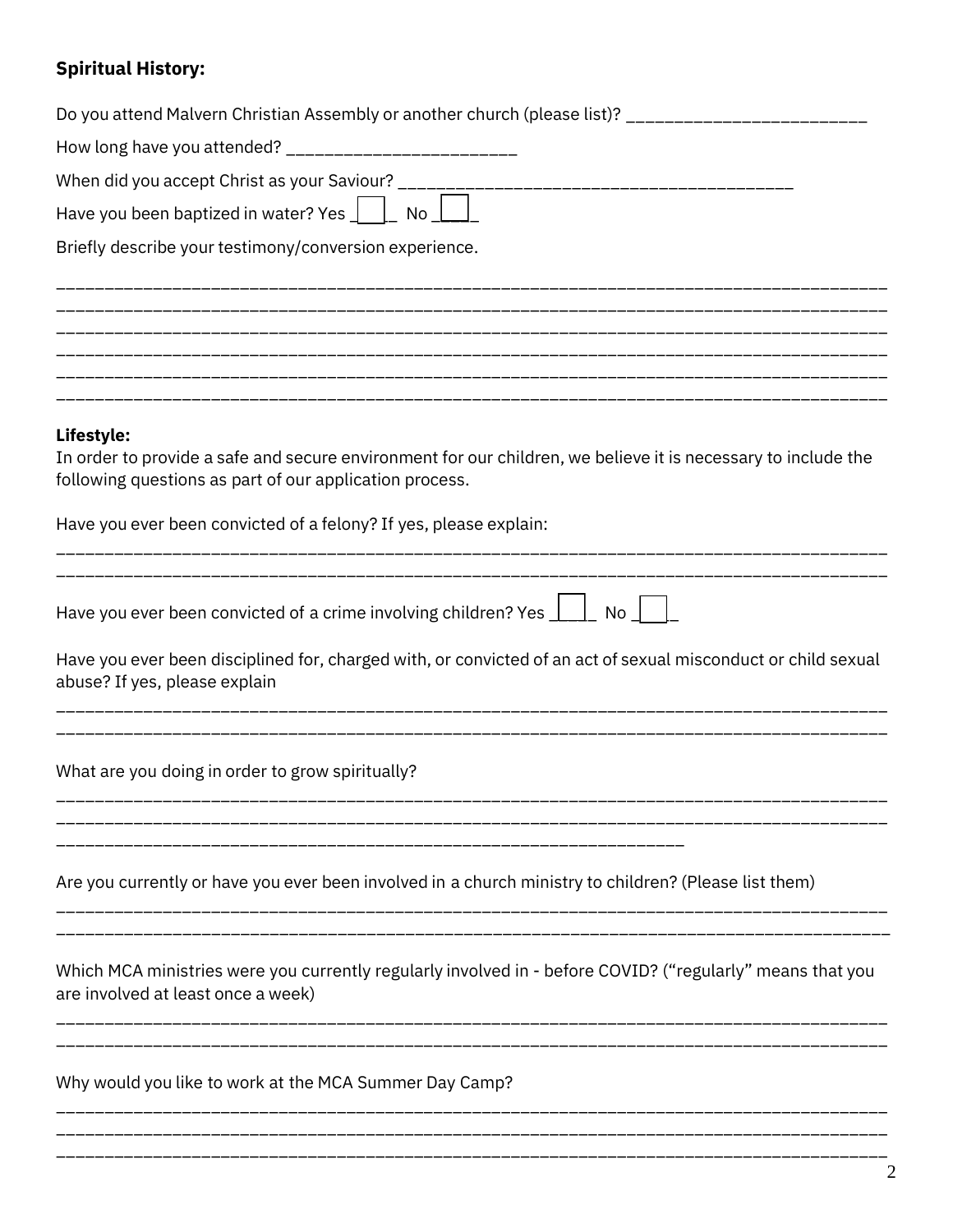## **Spiritual History:**

| Do you attend Malvern Christian Assembly or another church (please list)? ________________________                                                                       |
|--------------------------------------------------------------------------------------------------------------------------------------------------------------------------|
| How long have you attended? ___________________________                                                                                                                  |
|                                                                                                                                                                          |
| Have you been baptized in water? Yes $\boxed{\phantom{a}}$ No $\boxed{\phantom{a}}$                                                                                      |
| Briefly describe your testimony/conversion experience.                                                                                                                   |
|                                                                                                                                                                          |
|                                                                                                                                                                          |
|                                                                                                                                                                          |
|                                                                                                                                                                          |
| Lifestyle:                                                                                                                                                               |
| In order to provide a safe and secure environment for our children, we believe it is necessary to include the<br>following questions as part of our application process. |
| Have you ever been convicted of a felony? If yes, please explain:                                                                                                        |
|                                                                                                                                                                          |
| Have you ever been convicted of a crime involving children? Yes $\lfloor \_\_\_\right\rfloor$ No $\lfloor \_\_\_\right\rfloor$                                           |
| Have you ever been disciplined for, charged with, or convicted of an act of sexual misconduct or child sexual<br>abuse? If yes, please explain                           |
| What are you doing in order to grow spiritually?                                                                                                                         |
|                                                                                                                                                                          |
| Are you currently or have you ever been involved in a church ministry to children? (Please list them)                                                                    |
| Which MCA ministries were you currently regularly involved in - before COVID? ("regularly" means that you<br>are involved at least once a week)                          |
| Why would you like to work at the MCA Summer Day Camp?                                                                                                                   |
|                                                                                                                                                                          |